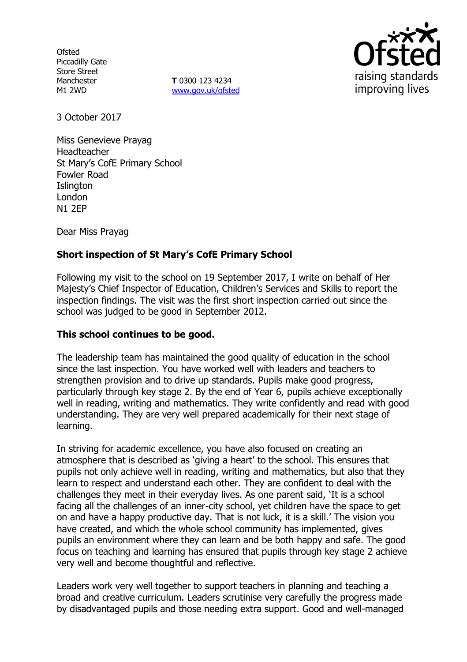**Ofsted** Piccadilly Gate Store Street Manchester M1 2WD

**T** 0300 123 4234 [www.gov.uk/ofsted](http://www.gov.uk/ofsted)



3 October 2017

Miss Genevieve Prayag Headteacher St Mary's CofE Primary School Fowler Road **Islington** London N1 2EP

Dear Miss Prayag

# **Short inspection of St Mary's CofE Primary School**

Following my visit to the school on 19 September 2017, I write on behalf of Her Majesty's Chief Inspector of Education, Children's Services and Skills to report the inspection findings. The visit was the first short inspection carried out since the school was judged to be good in September 2012.

### **This school continues to be good.**

The leadership team has maintained the good quality of education in the school since the last inspection. You have worked well with leaders and teachers to strengthen provision and to drive up standards. Pupils make good progress, particularly through key stage 2. By the end of Year 6, pupils achieve exceptionally well in reading, writing and mathematics. They write confidently and read with good understanding. They are very well prepared academically for their next stage of learning.

In striving for academic excellence, you have also focused on creating an atmosphere that is described as 'giving a heart' to the school. This ensures that pupils not only achieve well in reading, writing and mathematics, but also that they learn to respect and understand each other. They are confident to deal with the challenges they meet in their everyday lives. As one parent said, 'It is a school facing all the challenges of an inner-city school, yet children have the space to get on and have a happy productive day. That is not luck, it is a skill.' The vision you have created, and which the whole school community has implemented, gives pupils an environment where they can learn and be both happy and safe. The good focus on teaching and learning has ensured that pupils through key stage 2 achieve very well and become thoughtful and reflective.

Leaders work very well together to support teachers in planning and teaching a broad and creative curriculum. Leaders scrutinise very carefully the progress made by disadvantaged pupils and those needing extra support. Good and well-managed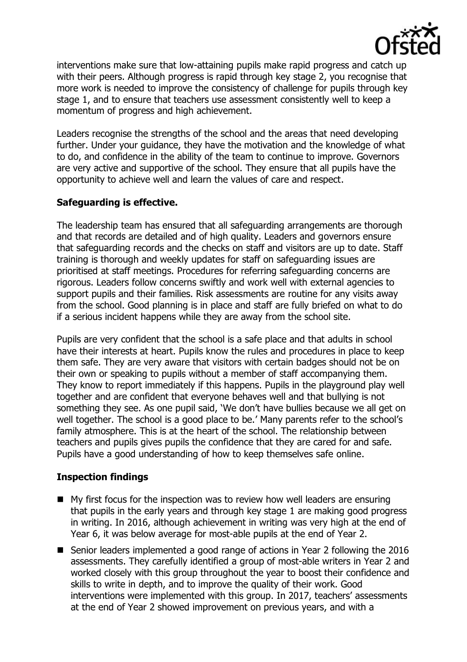

interventions make sure that low-attaining pupils make rapid progress and catch up with their peers. Although progress is rapid through key stage 2, you recognise that more work is needed to improve the consistency of challenge for pupils through key stage 1, and to ensure that teachers use assessment consistently well to keep a momentum of progress and high achievement.

Leaders recognise the strengths of the school and the areas that need developing further. Under your guidance, they have the motivation and the knowledge of what to do, and confidence in the ability of the team to continue to improve. Governors are very active and supportive of the school. They ensure that all pupils have the opportunity to achieve well and learn the values of care and respect.

# **Safeguarding is effective.**

The leadership team has ensured that all safeguarding arrangements are thorough and that records are detailed and of high quality. Leaders and governors ensure that safeguarding records and the checks on staff and visitors are up to date. Staff training is thorough and weekly updates for staff on safeguarding issues are prioritised at staff meetings. Procedures for referring safeguarding concerns are rigorous. Leaders follow concerns swiftly and work well with external agencies to support pupils and their families. Risk assessments are routine for any visits away from the school. Good planning is in place and staff are fully briefed on what to do if a serious incident happens while they are away from the school site.

Pupils are very confident that the school is a safe place and that adults in school have their interests at heart. Pupils know the rules and procedures in place to keep them safe. They are very aware that visitors with certain badges should not be on their own or speaking to pupils without a member of staff accompanying them. They know to report immediately if this happens. Pupils in the playground play well together and are confident that everyone behaves well and that bullying is not something they see. As one pupil said, 'We don't have bullies because we all get on well together. The school is a good place to be.' Many parents refer to the school's family atmosphere. This is at the heart of the school. The relationship between teachers and pupils gives pupils the confidence that they are cared for and safe. Pupils have a good understanding of how to keep themselves safe online.

# **Inspection findings**

- My first focus for the inspection was to review how well leaders are ensuring that pupils in the early years and through key stage 1 are making good progress in writing. In 2016, although achievement in writing was very high at the end of Year 6, it was below average for most-able pupils at the end of Year 2.
- Senior leaders implemented a good range of actions in Year 2 following the 2016 assessments. They carefully identified a group of most-able writers in Year 2 and worked closely with this group throughout the year to boost their confidence and skills to write in depth, and to improve the quality of their work. Good interventions were implemented with this group. In 2017, teachers' assessments at the end of Year 2 showed improvement on previous years, and with a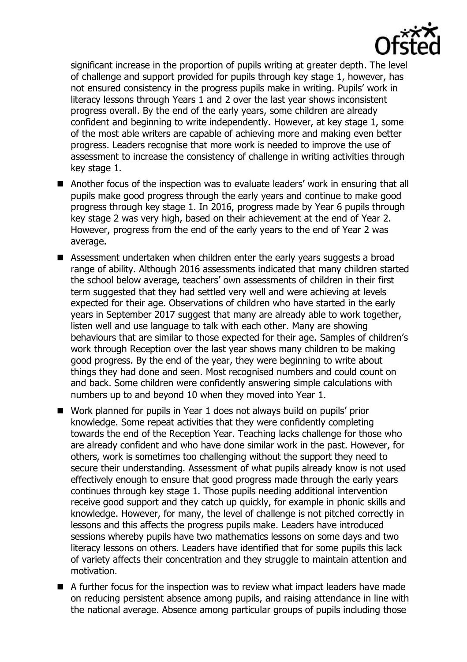

significant increase in the proportion of pupils writing at greater depth. The level of challenge and support provided for pupils through key stage 1, however, has not ensured consistency in the progress pupils make in writing. Pupils' work in literacy lessons through Years 1 and 2 over the last year shows inconsistent progress overall. By the end of the early years, some children are already confident and beginning to write independently. However, at key stage 1, some of the most able writers are capable of achieving more and making even better progress. Leaders recognise that more work is needed to improve the use of assessment to increase the consistency of challenge in writing activities through key stage 1.

- Another focus of the inspection was to evaluate leaders' work in ensuring that all pupils make good progress through the early years and continue to make good progress through key stage 1. In 2016, progress made by Year 6 pupils through key stage 2 was very high, based on their achievement at the end of Year 2. However, progress from the end of the early years to the end of Year 2 was average.
- Assessment undertaken when children enter the early years suggests a broad range of ability. Although 2016 assessments indicated that many children started the school below average, teachers' own assessments of children in their first term suggested that they had settled very well and were achieving at levels expected for their age. Observations of children who have started in the early years in September 2017 suggest that many are already able to work together, listen well and use language to talk with each other. Many are showing behaviours that are similar to those expected for their age. Samples of children's work through Reception over the last year shows many children to be making good progress. By the end of the year, they were beginning to write about things they had done and seen. Most recognised numbers and could count on and back. Some children were confidently answering simple calculations with numbers up to and beyond 10 when they moved into Year 1.
- Work planned for pupils in Year 1 does not always build on pupils' prior knowledge. Some repeat activities that they were confidently completing towards the end of the Reception Year. Teaching lacks challenge for those who are already confident and who have done similar work in the past. However, for others, work is sometimes too challenging without the support they need to secure their understanding. Assessment of what pupils already know is not used effectively enough to ensure that good progress made through the early years continues through key stage 1. Those pupils needing additional intervention receive good support and they catch up quickly, for example in phonic skills and knowledge. However, for many, the level of challenge is not pitched correctly in lessons and this affects the progress pupils make. Leaders have introduced sessions whereby pupils have two mathematics lessons on some days and two literacy lessons on others. Leaders have identified that for some pupils this lack of variety affects their concentration and they struggle to maintain attention and motivation.
- A further focus for the inspection was to review what impact leaders have made on reducing persistent absence among pupils, and raising attendance in line with the national average. Absence among particular groups of pupils including those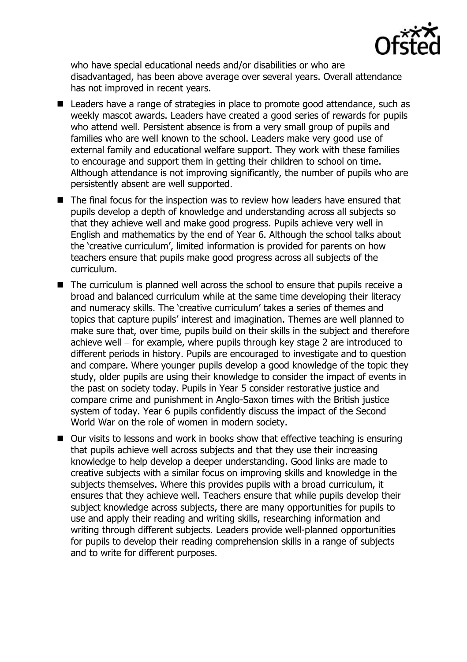

who have special educational needs and/or disabilities or who are disadvantaged, has been above average over several years. Overall attendance has not improved in recent years.

- Leaders have a range of strategies in place to promote good attendance, such as weekly mascot awards. Leaders have created a good series of rewards for pupils who attend well. Persistent absence is from a very small group of pupils and families who are well known to the school. Leaders make very good use of external family and educational welfare support. They work with these families to encourage and support them in getting their children to school on time. Although attendance is not improving significantly, the number of pupils who are persistently absent are well supported.
- The final focus for the inspection was to review how leaders have ensured that pupils develop a depth of knowledge and understanding across all subjects so that they achieve well and make good progress. Pupils achieve very well in English and mathematics by the end of Year 6. Although the school talks about the 'creative curriculum', limited information is provided for parents on how teachers ensure that pupils make good progress across all subjects of the curriculum.
- The curriculum is planned well across the school to ensure that pupils receive a broad and balanced curriculum while at the same time developing their literacy and numeracy skills. The 'creative curriculum' takes a series of themes and topics that capture pupils' interest and imagination. Themes are well planned to make sure that, over time, pupils build on their skills in the subject and therefore achieve well  $-$  for example, where pupils through key stage 2 are introduced to different periods in history. Pupils are encouraged to investigate and to question and compare. Where younger pupils develop a good knowledge of the topic they study, older pupils are using their knowledge to consider the impact of events in the past on society today. Pupils in Year 5 consider restorative justice and compare crime and punishment in Anglo-Saxon times with the British justice system of today. Year 6 pupils confidently discuss the impact of the Second World War on the role of women in modern society.
- Our visits to lessons and work in books show that effective teaching is ensuring that pupils achieve well across subjects and that they use their increasing knowledge to help develop a deeper understanding. Good links are made to creative subjects with a similar focus on improving skills and knowledge in the subjects themselves. Where this provides pupils with a broad curriculum, it ensures that they achieve well. Teachers ensure that while pupils develop their subject knowledge across subjects, there are many opportunities for pupils to use and apply their reading and writing skills, researching information and writing through different subjects. Leaders provide well-planned opportunities for pupils to develop their reading comprehension skills in a range of subjects and to write for different purposes.